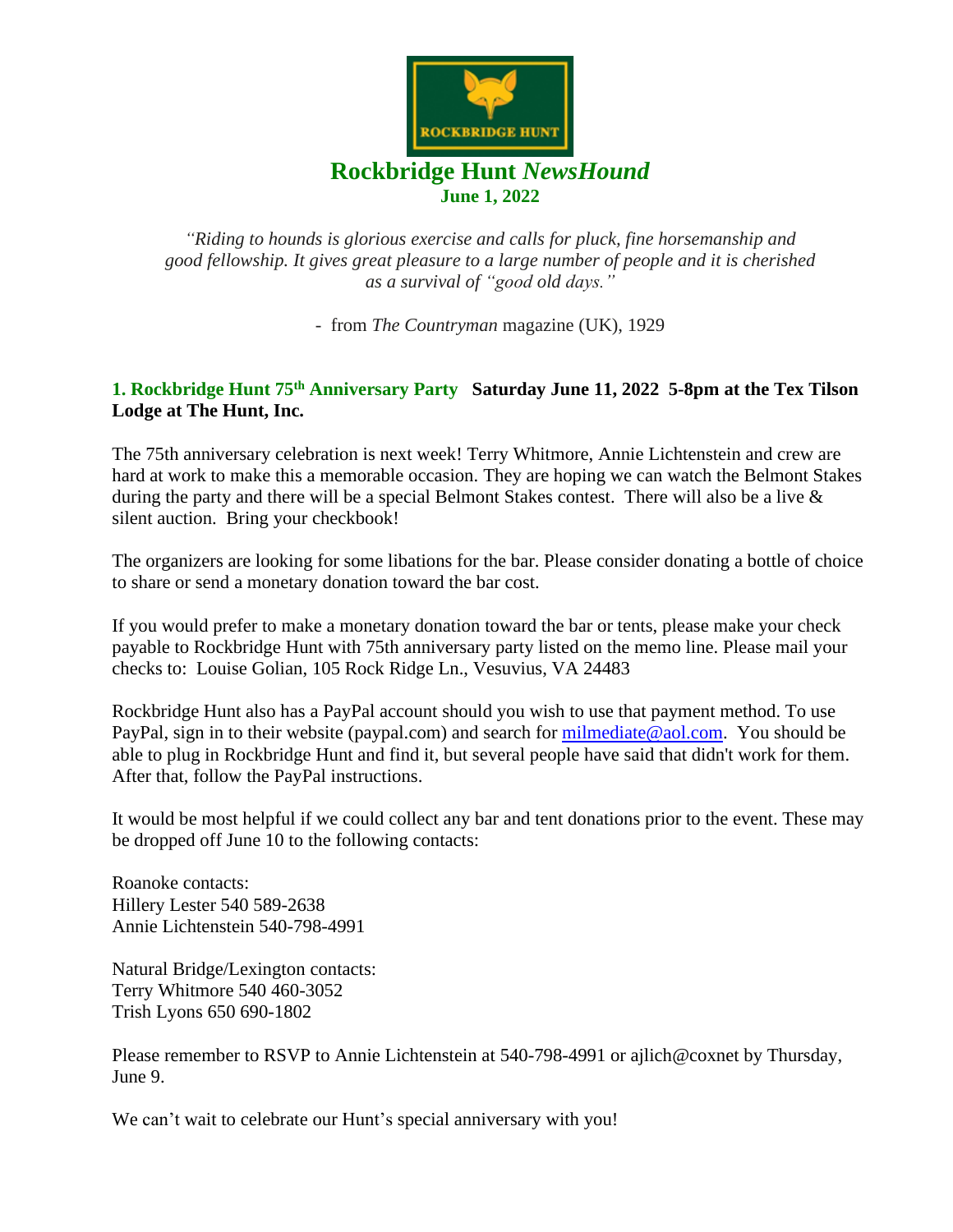

*"Riding to hounds is glorious exercise and calls for pluck, fine horsemanship and good fellowship. It gives great pleasure to a large number of people and it is cherished as a survival of "good old days."*

- from *The Countryman* magazine (UK), 1929

# **1. Rockbridge Hunt 75th Anniversary Party Saturday June 11, 2022 5-8pm at the Tex Tilson Lodge at The Hunt, Inc.**

The 75th anniversary celebration is next week! Terry Whitmore, Annie Lichtenstein and crew are hard at work to make this a memorable occasion. They are hoping we can watch the Belmont Stakes during the party and there will be a special Belmont Stakes contest. There will also be a live  $\&$ silent auction. Bring your checkbook!

The organizers are looking for some libations for the bar. Please consider donating a bottle of choice to share or send a monetary donation toward the bar cost.

If you would prefer to make a monetary donation toward the bar or tents, please make your check payable to Rockbridge Hunt with 75th anniversary party listed on the memo line. Please mail your checks to: Louise Golian, 105 Rock Ridge Ln., Vesuvius, VA 24483

Rockbridge Hunt also has a PayPal account should you wish to use that payment method. To use PayPal, sign in to their website (paypal.com) and search for [milmediate@aol.com.](mailto:milmediate@aol.com) You should be able to plug in Rockbridge Hunt and find it, but several people have said that didn't work for them. After that, follow the PayPal instructions.

It would be most helpful if we could collect any bar and tent donations prior to the event. These may be dropped off June 10 to the following contacts:

Roanoke contacts: Hillery Lester 540 589-2638 Annie Lichtenstein 540-798-4991

Natural Bridge/Lexington contacts: Terry Whitmore 540 460-3052 Trish Lyons 650 690-1802

Please remember to RSVP to Annie Lichtenstein at 540-798-4991 or ajlich@coxnet by Thursday, June 9.

We can't wait to celebrate our Hunt's special anniversary with you!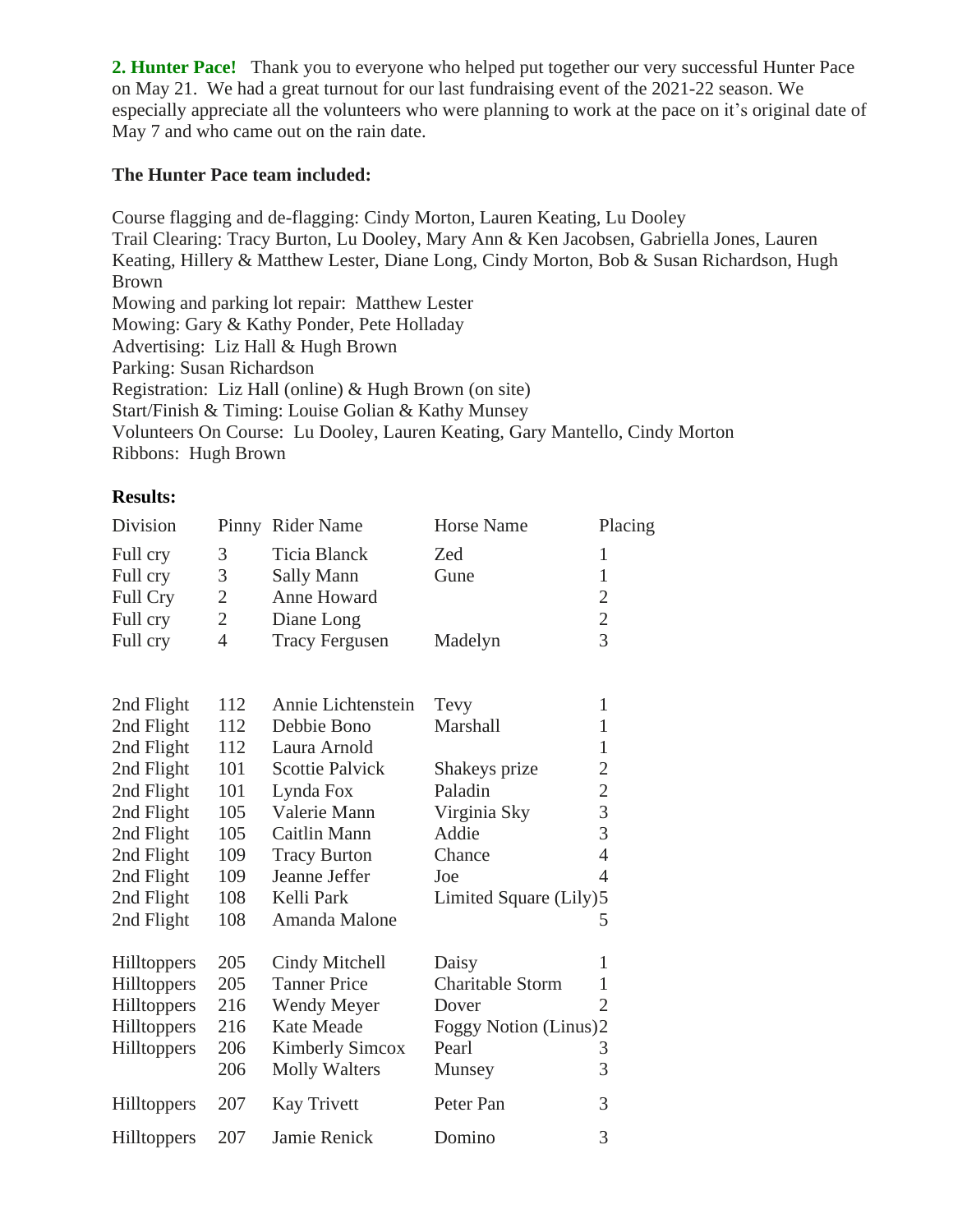**2. Hunter Pace!** Thank you to everyone who helped put together our very successful Hunter Pace on May 21. We had a great turnout for our last fundraising event of the 2021-22 season. We especially appreciate all the volunteers who were planning to work at the pace on it's original date of May 7 and who came out on the rain date.

## **The Hunter Pace team included:**

Course flagging and de-flagging: Cindy Morton, Lauren Keating, Lu Dooley Trail Clearing: Tracy Burton, Lu Dooley, Mary Ann & Ken Jacobsen, Gabriella Jones, Lauren Keating, Hillery & Matthew Lester, Diane Long, Cindy Morton, Bob & Susan Richardson, Hugh Brown Mowing and parking lot repair: Matthew Lester Mowing: Gary & Kathy Ponder, Pete Holladay Advertising: Liz Hall & Hugh Brown Parking: Susan Richardson Registration: Liz Hall (online) & Hugh Brown (on site) Start/Finish & Timing: Louise Golian & Kathy Munsey Volunteers On Course: Lu Dooley, Lauren Keating, Gary Mantello, Cindy Morton Ribbons: Hugh Brown

#### **Results:**

| Division           |                | Pinny Rider Name       | <b>Horse Name</b>       | Placing        |
|--------------------|----------------|------------------------|-------------------------|----------------|
| Full cry           | 3              | <b>Ticia Blanck</b>    | Zed                     | $\mathbf{1}$   |
| Full cry           | 3              | Sally Mann             | Gune                    | $\mathbf{1}$   |
| Full Cry           | $\overline{2}$ | <b>Anne Howard</b>     |                         | $\overline{2}$ |
| Full cry           | $\overline{2}$ | Diane Long             |                         | $\frac{2}{3}$  |
| Full cry           | $\overline{4}$ | <b>Tracy Fergusen</b>  | Madelyn                 |                |
|                    |                |                        |                         |                |
| 2nd Flight         | 112            | Annie Lichtenstein     | Tevy                    | $\mathbf{1}$   |
| 2nd Flight         | 112            | Debbie Bono            | Marshall                | $\mathbf{1}$   |
| 2nd Flight         | 112            | Laura Arnold           |                         | $\mathbf{1}$   |
| 2nd Flight         | 101            | <b>Scottie Palvick</b> | Shakeys prize           | $\overline{c}$ |
| 2nd Flight         | 101            | Lynda Fox              | Paladin                 | $\overline{c}$ |
| 2nd Flight         | 105            | Valerie Mann           | Virginia Sky            | $\frac{3}{3}$  |
| 2nd Flight         | 105            | Caitlin Mann           | Addie                   |                |
| 2nd Flight         | 109            | <b>Tracy Burton</b>    | Chance                  | $\overline{4}$ |
| 2nd Flight         | 109            | Jeanne Jeffer          | Joe                     | $\overline{4}$ |
| 2nd Flight         | 108            | Kelli Park             | Limited Square (Lily)5  |                |
| 2nd Flight         | 108            | Amanda Malone          |                         | 5              |
| Hilltoppers        | 205            | Cindy Mitchell         | Daisy                   | 1              |
| Hilltoppers        | 205            | <b>Tanner Price</b>    | <b>Charitable Storm</b> | $\mathbf{1}$   |
| Hilltoppers        | 216            | Wendy Meyer            | Dover                   | $\overline{2}$ |
| <b>Hilltoppers</b> | 216            | <b>Kate Meade</b>      | Foggy Notion (Linus)2   |                |
| Hilltoppers        | 206            | <b>Kimberly Simcox</b> | Pearl                   | 3              |
|                    | 206            | <b>Molly Walters</b>   | Munsey                  | 3              |
| Hilltoppers        | 207            | <b>Kay Trivett</b>     | Peter Pan               | 3              |
| Hilltoppers        | 207            | Jamie Renick           | Domino                  | 3              |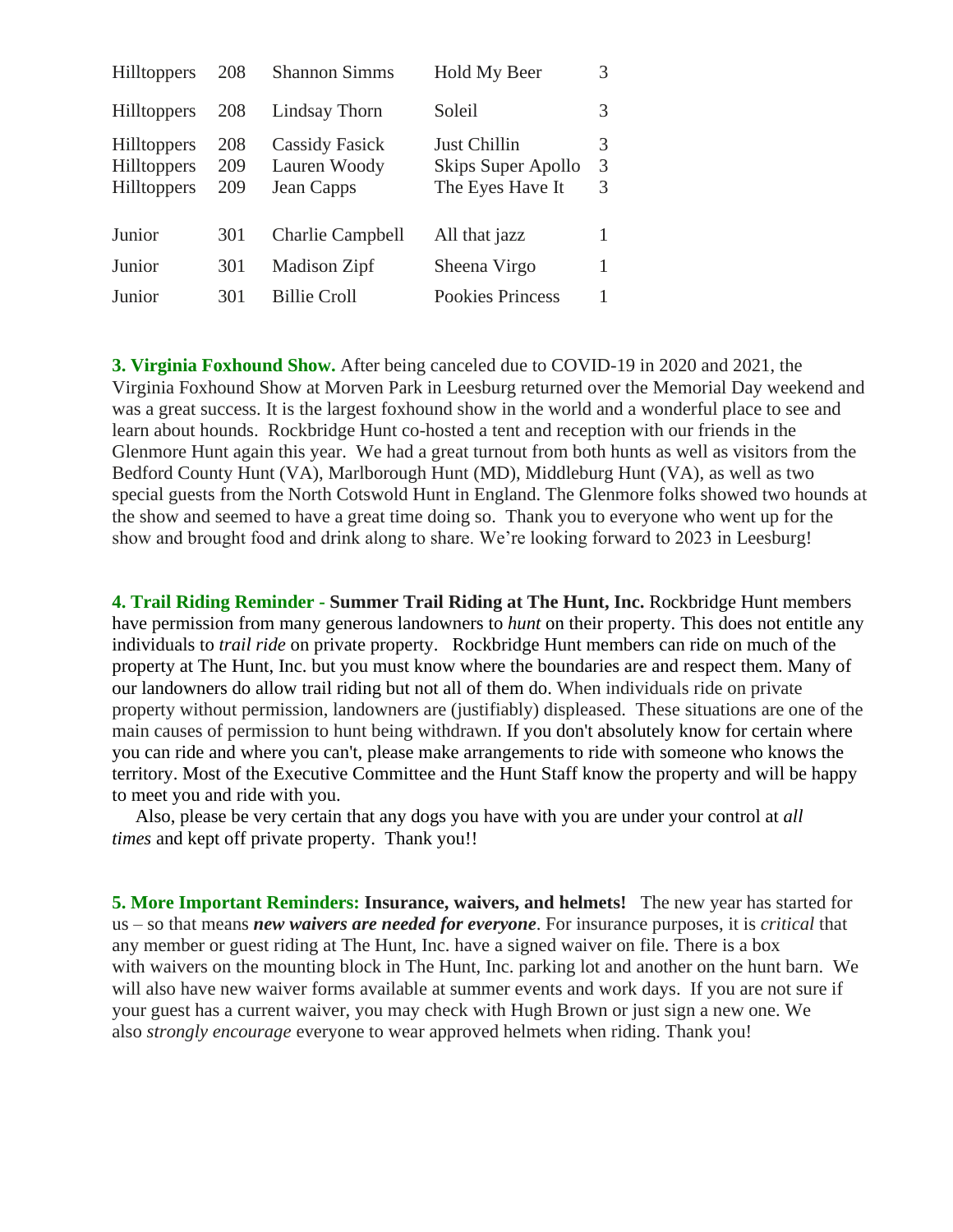| <b>Hilltoppers</b>                                             | 208               | <b>Shannon Simms</b>                                | Hold My Beer                                           | 3           |
|----------------------------------------------------------------|-------------------|-----------------------------------------------------|--------------------------------------------------------|-------------|
| <b>Hilltoppers</b>                                             | 208               | Lindsay Thorn                                       | Soleil                                                 | 3           |
| <b>Hilltoppers</b><br><b>Hilltoppers</b><br><b>Hilltoppers</b> | 208<br>209<br>209 | <b>Cassidy Fasick</b><br>Lauren Woody<br>Jean Capps | Just Chillin<br>Skips Super Apollo<br>The Eyes Have It | 3<br>3<br>3 |
| Junior                                                         | 301               | <b>Charlie Campbell</b>                             | All that jazz                                          |             |
| Junior                                                         | 301               | Madison Zipf                                        | Sheena Virgo                                           |             |
| Junior                                                         | 301               | <b>Billie Croll</b>                                 | <b>Pookies Princess</b>                                |             |

**3. Virginia Foxhound Show.** After being canceled due to COVID-19 in 2020 and 2021, the Virginia Foxhound Show at Morven Park in Leesburg returned over the Memorial Day weekend and was a great success. It is the largest foxhound show in the world and a wonderful place to see and learn about hounds. Rockbridge Hunt co-hosted a tent and reception with our friends in the Glenmore Hunt again this year. We had a great turnout from both hunts as well as visitors from the Bedford County Hunt (VA), Marlborough Hunt (MD), Middleburg Hunt (VA), as well as two special guests from the North Cotswold Hunt in England. The Glenmore folks showed two hounds at the show and seemed to have a great time doing so. Thank you to everyone who went up for the show and brought food and drink along to share. We're looking forward to 2023 in Leesburg!

**4. Trail Riding Reminder - Summer Trail Riding at The Hunt, Inc.** Rockbridge Hunt members have permission from many generous landowners to *hunt* on their property. This does not entitle any individuals to *trail ride* on private property. Rockbridge Hunt members can ride on much of the property at The Hunt, Inc. but you must know where the boundaries are and respect them. Many of our landowners do allow trail riding but not all of them do. When individuals ride on private property without permission, landowners are (justifiably) displeased. These situations are one of the main causes of permission to hunt being withdrawn. If you don't absolutely know for certain where you can ride and where you can't, please make arrangements to ride with someone who knows the territory. Most of the Executive Committee and the Hunt Staff know the property and will be happy to meet you and ride with you.

 Also, please be very certain that any dogs you have with you are under your control at *all times* and kept off private property. Thank you!!

**5. More Important Reminders: Insurance, waivers, and helmets!** The new year has started for us – so that means *new waivers are needed for everyone*. For insurance purposes, it is *critical* that any member or guest riding at The Hunt, Inc. have a signed waiver on file. There is a box with waivers on the mounting block in The Hunt, Inc. parking lot and another on the hunt barn. We will also have new waiver forms available at summer events and work days. If you are not sure if your guest has a current waiver, you may check with Hugh Brown or just sign a new one. We also *strongly encourage* everyone to wear approved helmets when riding. Thank you!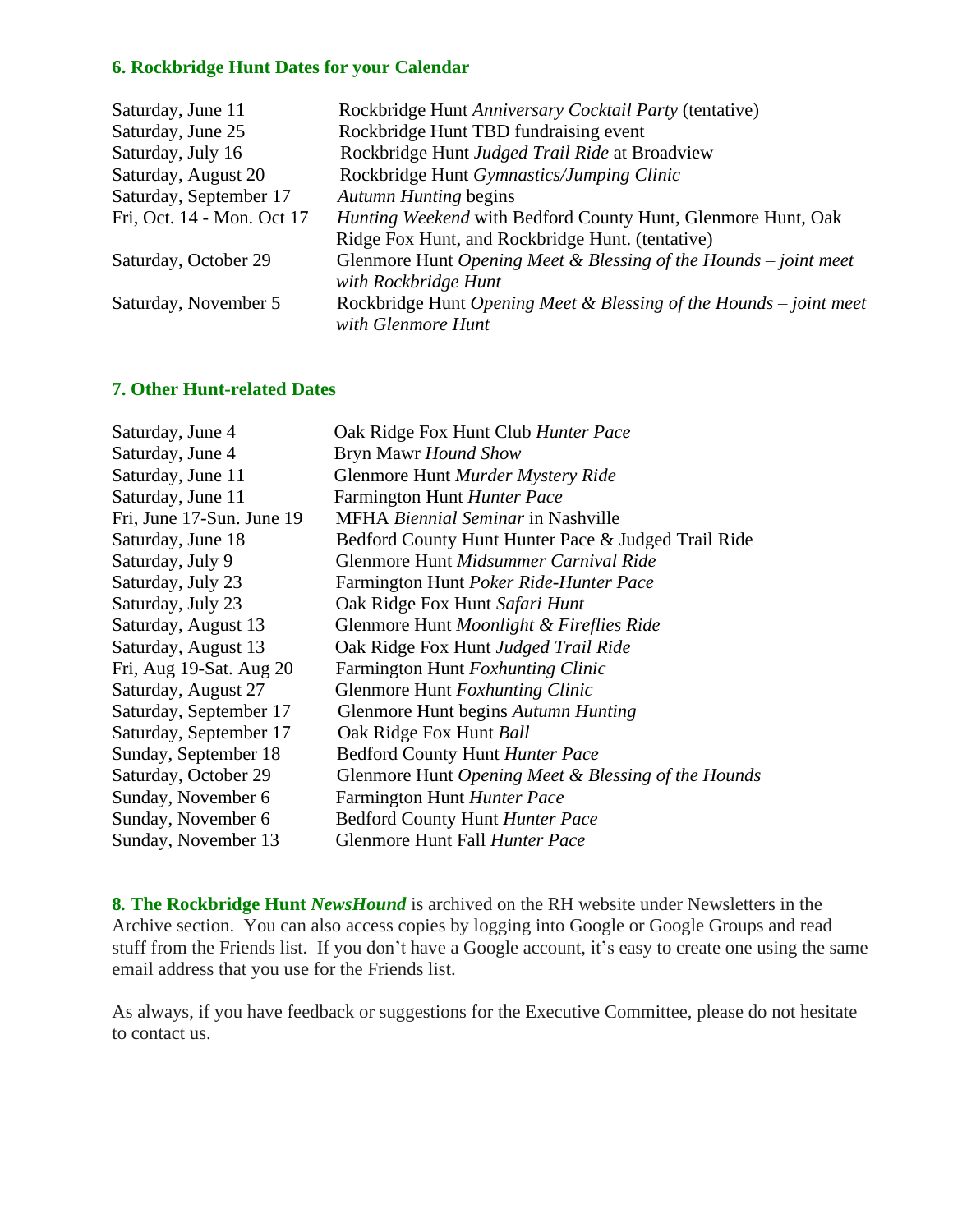# **6. Rockbridge Hunt Dates for your Calendar**

| Saturday, June 11          | Rockbridge Hunt Anniversary Cocktail Party (tentative)             |
|----------------------------|--------------------------------------------------------------------|
| Saturday, June 25          | Rockbridge Hunt TBD fundraising event                              |
| Saturday, July 16          | Rockbridge Hunt Judged Trail Ride at Broadview                     |
| Saturday, August 20        | Rockbridge Hunt Gymnastics/Jumping Clinic                          |
| Saturday, September 17     | <b>Autumn Hunting begins</b>                                       |
| Fri, Oct. 14 - Mon. Oct 17 | Hunting Weekend with Bedford County Hunt, Glenmore Hunt, Oak       |
|                            | Ridge Fox Hunt, and Rockbridge Hunt. (tentative)                   |
| Saturday, October 29       | Glenmore Hunt Opening Meet & Blessing of the Hounds $-$ joint meet |
|                            | with Rockbridge Hunt                                               |
| Saturday, November 5       | Rockbridge Hunt Opening Meet & Blessing of the Hounds - joint meet |
|                            | with Glenmore Hunt                                                 |

# **7. Other Hunt-related Dates**

| Saturday, June 4          | Oak Ridge Fox Hunt Club Hunter Pace                 |
|---------------------------|-----------------------------------------------------|
| Saturday, June 4          | Bryn Mawr Hound Show                                |
| Saturday, June 11         | Glenmore Hunt Murder Mystery Ride                   |
| Saturday, June 11         | Farmington Hunt Hunter Pace                         |
| Fri, June 17-Sun. June 19 | <b>MFHA</b> <i>Biennial Seminar</i> in Nashville    |
| Saturday, June 18         | Bedford County Hunt Hunter Pace & Judged Trail Ride |
| Saturday, July 9          | Glenmore Hunt Midsummer Carnival Ride               |
| Saturday, July 23         | Farmington Hunt Poker Ride-Hunter Pace              |
| Saturday, July 23         | Oak Ridge Fox Hunt Safari Hunt                      |
| Saturday, August 13       | Glenmore Hunt Moonlight & Fireflies Ride            |
| Saturday, August 13       | Oak Ridge Fox Hunt Judged Trail Ride                |
| Fri, Aug 19-Sat. Aug 20   | Farmington Hunt Foxhunting Clinic                   |
| Saturday, August 27       | Glenmore Hunt Foxhunting Clinic                     |
| Saturday, September 17    | Glenmore Hunt begins Autumn Hunting                 |
| Saturday, September 17    | Oak Ridge Fox Hunt Ball                             |
| Sunday, September 18      | Bedford County Hunt Hunter Pace                     |
| Saturday, October 29      | Glenmore Hunt Opening Meet & Blessing of the Hounds |
| Sunday, November 6        | Farmington Hunt Hunter Pace                         |
| Sunday, November 6        | <b>Bedford County Hunt Hunter Pace</b>              |
| Sunday, November 13       | Glenmore Hunt Fall Hunter Pace                      |

**8***.* **The Rockbridge Hunt** *NewsHound* is archived on the RH website under Newsletters in the Archive section. You can also access copies by logging into Google or Google Groups and read stuff from the Friends list. If you don't have a Google account, it's easy to create one using the same email address that you use for the Friends list.

As always, if you have feedback or suggestions for the Executive Committee, please do not hesitate to contact us.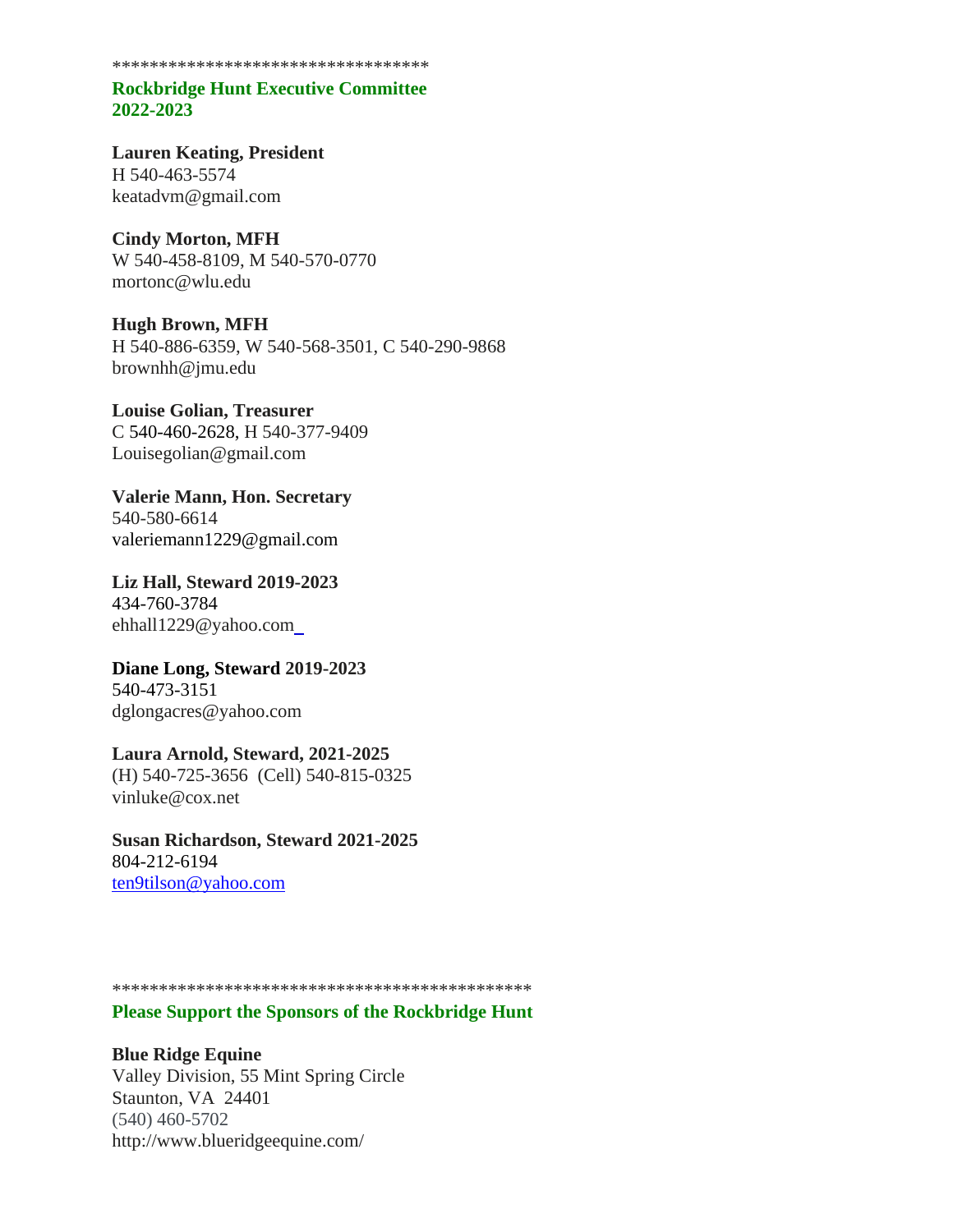\*\*\*\*\*\*\*\*\*\*\*\*\*\*\*\*\*\*\*\*\*\*\*\*\*\*\*\*\*\*\*\*\*\*

## **Rockbridge Hunt Executive Committee 2022-2023**

**Lauren Keating, President** H 540-463-5574 keatadvm@gmail.com

**Cindy Morton, MFH**  W 540-458-8109, M 540-570-0770 mortonc@wlu.edu

**Hugh Brown, MFH** H 540-886-6359, W 540-568-3501, C 540-290-9868 brownhh@jmu.edu

**Louise Golian, Treasurer** C 540-460-2628, H 540-377-9409 Louisegolian@gmail.com

**Valerie Mann, Hon. Secretary** 540-580-6614 valeriemann1229@gmail.com

**Liz Hall, Steward 2019-2023** 434-760-3784 ehhall1229@yahoo.com

**Diane Long, Steward 2019-2023** 540-473-3151 dglongacres@yahoo.com

# **Laura Arnold, Steward, 2021-2025**

(H) 540-725-3656 (Cell) 540-815-0325 vinluke@cox.net

**Susan Richardson, Steward 2021-2025** 804-212-6194 [ten9tilson@yahoo.com](mailto:ten9tilson@yahoo.com)

\*\*\*\*\*\*\*\*\*\*\*\*\*\*\*\*\*\*\*\*\*\*\*\*\*\*\*\*\*\*\*\*\*\*\*\*\*\*\*\*\*\*\*\*\*

#### **Please Support the Sponsors of the Rockbridge Hunt**

**Blue Ridge Equine** Valley Division, 55 Mint Spring Circle Staunton, VA 24401 (540) 460-5702 http://www.blueridgeequine.com/